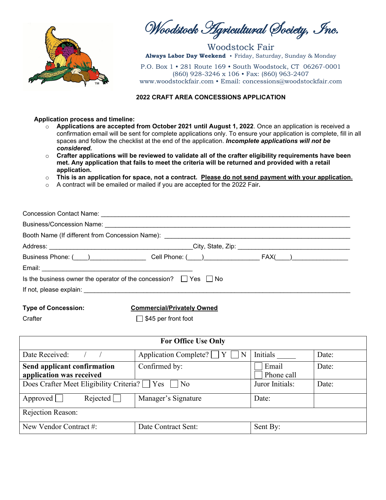

Woodstock Agricultural Society, Inc.

Woodstock Fair **Always Labor Day Weekend** • Friday, Saturday, Sunday & Monday

P.O. Box 1 • 281 Route 169 • South Woodstock, CT 06267-0001 (860) 928-3246 x 106 • Fax: (860) 963-2407 www.woodstockfair.com • Email: concessions@woodstockfair.com

#### **2022 CRAFT AREA CONCESSIONS APPLICATION**

#### **Application process and timeline:**

- o **Applications are accepted from October 2021 until August 1, 2022**. Once an application is received a confirmation email will be sent for complete applications only. To ensure your application is complete, fill in all spaces and follow the checklist at the end of the application. *Incomplete applications will not be considered.*
- o **Crafter applications will be reviewed to validate all of the crafter eligibility requirements have been met. Any application that fails to meet the criteria will be returned and provided with a retail application.**
- o **This is an application for space, not a contract. Please do not send payment with your application.**
- o A contract will be emailed or mailed if you are accepted for the 2022 Fair**.**

| Business Phone: (Comparently Cell Phone: (Comparently Cell Phone: (Comparently Cell Phone: (Comparently Cell Phone: (Comparently Cell Phone: (Comparently Cell Phone: (Comparently Cell Phone: (Comparently Cell Phone: (Compa |  |  |
|--------------------------------------------------------------------------------------------------------------------------------------------------------------------------------------------------------------------------------|--|--|
|                                                                                                                                                                                                                                |  |  |
| Is the business owner the operator of the concession? $\Box$ Yes $\Box$ No                                                                                                                                                     |  |  |
|                                                                                                                                                                                                                                |  |  |
|                                                                                                                                                                                                                                |  |  |

#### **Type of Concession: Commercial/Privately Owned**

## Crafter ■ S45 per front foot

| <b>For Office Use Only</b>                                 |                            |                     |       |
|------------------------------------------------------------|----------------------------|---------------------|-------|
| Date Received:                                             | Application Complete?<br>Y | Initials            | Date: |
| Send applicant confirmation<br>application was received    | Confirmed by:              | Email<br>Phone call | Date: |
| Does Crafter Meet Eligibility Criteria? $\Box$ Yes<br>l No |                            | Juror Initials:     | Date: |
| Rejected<br>Approved                                       | Manager's Signature        | Date:               |       |
| Rejection Reason:                                          |                            |                     |       |
| New Vendor Contract #:                                     | Date Contract Sent:        | Sent By:            |       |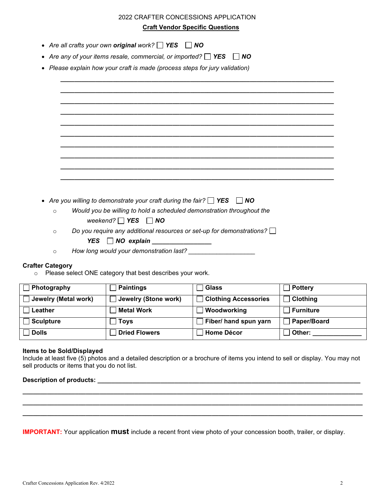|         | <b>Craft Vendor Specific Questions</b>                                          |
|---------|---------------------------------------------------------------------------------|
|         |                                                                                 |
|         | Are all crafts your own original work? $\Box$ YES $\Box$ NO                     |
|         | Are any of your items resale, commercial, or imported? $\Box$ YES $\Box$ NO     |
|         | Please explain how your craft is made (process steps for jury validation)       |
|         |                                                                                 |
|         |                                                                                 |
|         |                                                                                 |
|         |                                                                                 |
|         |                                                                                 |
|         |                                                                                 |
|         |                                                                                 |
|         |                                                                                 |
|         |                                                                                 |
|         |                                                                                 |
|         |                                                                                 |
|         |                                                                                 |
|         | Are you willing to demonstrate your craft during the fair? $\Box$ YES $\Box$ NO |
| $\circ$ | Would you be willing to hold a scheduled demonstration throughout the           |
|         | weekend? $\Box$ YES $\Box$ NO                                                   |
| $\circ$ | Do you require any additional resources or set-up for demonstrations?           |
|         |                                                                                 |
|         | $YES \tN0 explain$                                                              |

 $\circ$  Please select ONE category that best describes your work.

| Photography          | Paintings            | <b>Glass</b>                | <b>Pottery</b>  |
|----------------------|----------------------|-----------------------------|-----------------|
| Jewelry (Metal work) | Jewelry (Stone work) | <b>Clothing Accessories</b> | <b>Clothing</b> |
| Leather              | <b>Metal Work</b>    | Woodworking                 | Furniture       |
| <b>Sculpture</b>     | <b>Toys</b>          | Fiber/ hand spun yarn       | Paper/Board     |
| <b>Dolls</b>         | <b>Dried Flowers</b> | <b>Home Décor</b>           | Other:          |

#### **Items to be Sold/Displayed**

Include at least five (5) photos and a detailed description or a brochure of items you intend to sell or display. You may not sell products or items that you do not list.

**\_\_\_\_\_\_\_\_\_\_\_\_\_\_\_\_\_\_\_\_\_\_\_\_\_\_\_\_\_\_\_\_\_\_\_\_\_\_\_\_\_\_\_\_\_\_\_\_\_\_\_\_\_\_\_\_\_\_\_\_\_\_\_\_\_\_\_\_\_\_\_\_\_\_\_\_\_\_\_\_\_\_\_\_\_\_\_\_\_\_\_\_\_\_\_\_\_ \_\_\_\_\_\_\_\_\_\_\_\_\_\_\_\_\_\_\_\_\_\_\_\_\_\_\_\_\_\_\_\_\_\_\_\_\_\_\_\_\_\_\_\_\_\_\_\_\_\_\_\_\_\_\_\_\_\_\_\_\_\_\_\_\_\_\_\_\_\_\_\_\_\_\_\_\_\_\_\_\_\_\_\_\_\_\_\_\_\_\_\_\_\_\_\_\_ \_\_\_\_\_\_\_\_\_\_\_\_\_\_\_\_\_\_\_\_\_\_\_\_\_\_\_\_\_\_\_\_\_\_\_\_\_\_\_\_\_\_\_\_\_\_\_\_\_\_\_\_\_\_\_\_\_\_\_\_\_\_\_\_\_\_\_\_\_\_\_\_\_\_\_\_\_\_\_\_\_\_\_\_\_\_\_\_\_\_\_\_\_\_\_\_\_**

#### Description of products:

**IMPORTANT:** Your application **must** include a recent front view photo of your concession booth, trailer, or display.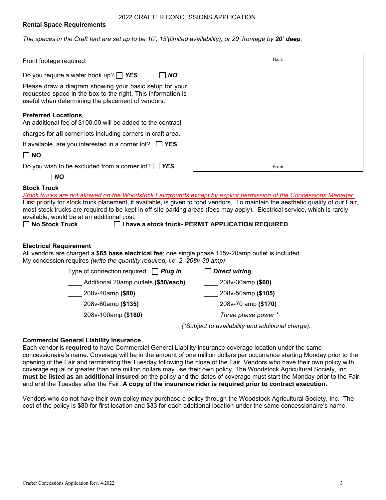#### 2022 CRAFTER CONCESSIONS APPLICATION

#### **Rental Space Requirements**

*The spaces in the Craft tent are set up to be 10', 15'(limited availability), or 20' frontage by 20' deep.* 

| Front footage required:                                                                                                                                                      | Back  |
|------------------------------------------------------------------------------------------------------------------------------------------------------------------------------|-------|
| Do you require a water hook up? $\Box$ YES<br>$\overline{N}$                                                                                                                 |       |
| Please draw a diagram showing your basic setup for your<br>requested space in the box to the right. This information is<br>useful when determining the placement of vendors. |       |
| <b>Preferred Locations</b><br>An additional fee of \$100.00 will be added to the contract                                                                                    |       |
| charges for all corner lots including corners in craft area.                                                                                                                 |       |
| If available, are you interested in a corner lot? $\Box$ YES                                                                                                                 |       |
| $\Box$ NO                                                                                                                                                                    |       |
| Do you wish to be excluded from a corner lot? $\Box$ YES                                                                                                                     | Front |
| NO                                                                                                                                                                           |       |

# **Stock Truck**

*Stock trucks are not allowed on the Woodstock Fairgrounds except by explicit permission of the Concessions Manager.* First priority for stock truck placement, if available, is given to food vendors. To maintain the aesthetic quality of our Fair, most stock trucks are required to be kept in off-site parking areas (fees may apply). Electrical service, which is rarely available, would be at an additional cost.<br>  $\Box$  **No Stock Truck** 

**No Stock Truck I have a stock truck- PERMIT APPLICATION REQUIRED**

#### **Electrical Requirement**

All vendors are charged a **\$65 base electrical fee**; one single phase 115v-20amp outlet is included. My concession requires *(write the quantity required, i.e. 2- 208v-30 amp)*:

| Type of connection required: $\Box$ Plug in | <b>Direct wiring</b> |
|---------------------------------------------|----------------------|
| Additional 20amp outlets (\$50/each)        | 208v-30amp (\$60)    |
| 208v-40amp (\$80)                           | 208v-50amp (\$105)   |
| 208v-60amp (\$135)                          | 208v-70 amp (\$170)  |
| 208v-100amp (\$180)                         | Three phase power *  |
|                                             |                      |

# *(\*Subject to availability and additional charge).*

#### **Commercial General Liability Insurance**

Each vendor is **required** to have Commercial General Liability insurance coverage location under the same concessionaire's name. Coverage will be in the amount of one million dollars per occurrence starting Monday prior to the opening of the Fair and terminating the Tuesday following the close of the Fair. Vendors who have their own policy with coverage equal or greater than one million dollars may use their own policy. The Woodstock Agricultural Society, Inc. **must be listed as an additional insured** on the policy and the dates of coverage must start the Monday prior to the Fair and end the Tuesday after the Fair. **A copy of the insurance rider is required prior to contract execution.**

Vendors who do not have their own policy may purchase a policy through the Woodstock Agricultural Society, Inc. The cost of the policy is \$80 for first location and \$33 for each additional location under the same concessionaire's name.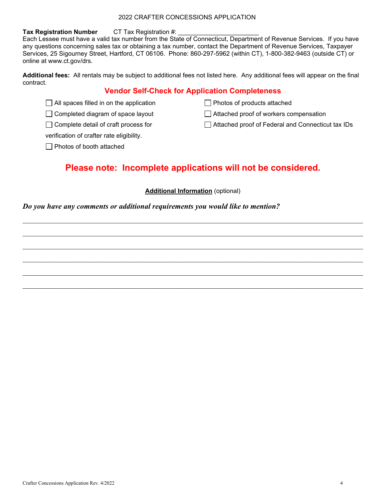#### 2022 CRAFTER CONCESSIONS APPLICATION

#### **Tax Registration Number** CT Tax Registration #:

Each Lessee must have a valid tax number from the State of Connecticut, Department of Revenue Services. If you have any questions concerning sales tax or obtaining a tax number, contact the Department of Revenue Services, Taxpayer Services, 25 Sigourney Street, Hartford, CT 06106. Phone: 860-297-5962 (within CT), 1-800-382-9463 (outside CT) or online at www.ct.gov/drs.

**Additional fees:** All rentals may be subject to additional fees not listed here. Any additional fees will appear on the final contract.

## **Vendor Self-Check for Application Completeness**

 $\Box$  All spaces filled in on the application

 $\Box$  Completed diagram of space layout

 $\Box$  Complete detail of craft process for

verification of crafter rate eligibility.

 $\Box$  Photos of booth attached

Photos of products attached

Attached proof of workers compensation

□ Attached proof of Federal and Connecticut tax IDs

# **Please note: Incomplete applications will not be considered.**

### **Additional Information** (optional)

 $\mathcal{L}_\mathcal{L} = \mathcal{L}_\mathcal{L} = \mathcal{L}_\mathcal{L} = \mathcal{L}_\mathcal{L} = \mathcal{L}_\mathcal{L} = \mathcal{L}_\mathcal{L} = \mathcal{L}_\mathcal{L} = \mathcal{L}_\mathcal{L} = \mathcal{L}_\mathcal{L} = \mathcal{L}_\mathcal{L} = \mathcal{L}_\mathcal{L} = \mathcal{L}_\mathcal{L} = \mathcal{L}_\mathcal{L} = \mathcal{L}_\mathcal{L} = \mathcal{L}_\mathcal{L} = \mathcal{L}_\mathcal{L} = \mathcal{L}_\mathcal{L}$ 

 $\mathcal{L}_\mathcal{L} = \{ \mathcal{L}_\mathcal{L} = \{ \mathcal{L}_\mathcal{L} = \{ \mathcal{L}_\mathcal{L} = \{ \mathcal{L}_\mathcal{L} = \{ \mathcal{L}_\mathcal{L} = \{ \mathcal{L}_\mathcal{L} = \{ \mathcal{L}_\mathcal{L} = \{ \mathcal{L}_\mathcal{L} = \{ \mathcal{L}_\mathcal{L} = \{ \mathcal{L}_\mathcal{L} = \{ \mathcal{L}_\mathcal{L} = \{ \mathcal{L}_\mathcal{L} = \{ \mathcal{L}_\mathcal{L} = \{ \mathcal{L}_\mathcal{$ 

 $\mathcal{L}_\mathcal{L} = \{ \mathcal{L}_\mathcal{L} = \{ \mathcal{L}_\mathcal{L} = \{ \mathcal{L}_\mathcal{L} = \{ \mathcal{L}_\mathcal{L} = \{ \mathcal{L}_\mathcal{L} = \{ \mathcal{L}_\mathcal{L} = \{ \mathcal{L}_\mathcal{L} = \{ \mathcal{L}_\mathcal{L} = \{ \mathcal{L}_\mathcal{L} = \{ \mathcal{L}_\mathcal{L} = \{ \mathcal{L}_\mathcal{L} = \{ \mathcal{L}_\mathcal{L} = \{ \mathcal{L}_\mathcal{L} = \{ \mathcal{L}_\mathcal{$ 

 $\mathcal{L}_\mathcal{L} = \{ \mathcal{L}_\mathcal{L} = \{ \mathcal{L}_\mathcal{L} = \{ \mathcal{L}_\mathcal{L} = \{ \mathcal{L}_\mathcal{L} = \{ \mathcal{L}_\mathcal{L} = \{ \mathcal{L}_\mathcal{L} = \{ \mathcal{L}_\mathcal{L} = \{ \mathcal{L}_\mathcal{L} = \{ \mathcal{L}_\mathcal{L} = \{ \mathcal{L}_\mathcal{L} = \{ \mathcal{L}_\mathcal{L} = \{ \mathcal{L}_\mathcal{L} = \{ \mathcal{L}_\mathcal{L} = \{ \mathcal{L}_\mathcal{$ 

### *Do you have any comments or additional requirements you would like to mention?*